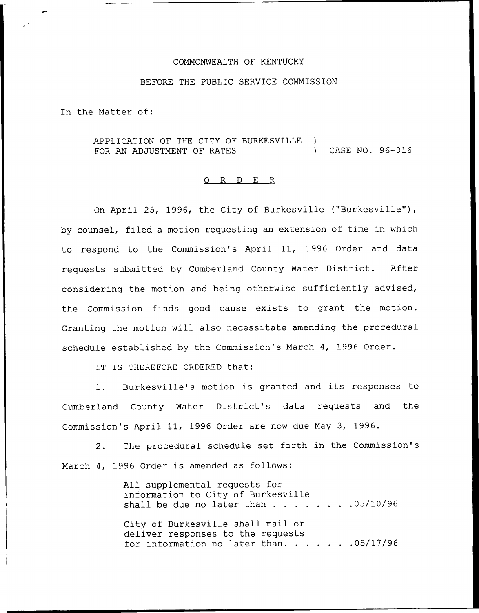## COMMONWEALTH OF KENTUCKY

## BEFORE THE PUBLIC SERVICE COMMISSION

In the Matter of:

APPLICATION OF THE CITY OF BURKESVILLE )<br>FOR AN ADJUSTMENT OF RATES FOR AN ADJUSTMENT OF RATES (2008) CASE NO. 96-016

## 0 R <sup>D</sup> E R

On April 25, 1996, the City of Burkesville ("Burkesville"), by counsel, filed a motion requesting an extension of time in which to respond to the Commission's April 11, 1996 Order and data requests submitted by Cumberland County Water District. After considering the motion and being otherwise sufficiently advised, the Commission finds good cause exists to grant the motion. Granting the motion will also necessitate amending the procedural schedule established by the Commission's March 4, 1996 Order.

IT IS THEREFORE ORDERED that:

1. Burkesville's motion is granted and its responses to Cumberland County Water District's data requests and the Commission's April 11, 1996 Order are now due May 3, 1996.

2. The procedural schedule set forth in the Commission's March 4, 1996 Order is amended as follows:

> All supplemental requests for information to City of Burkesville shall be due no later than  $\ldots$  . . . . . . 05/10/96

> City of Burkesville shall mail or deliver responses to the requests for information no later than.  $\ldots$  . . . . 05/17/96